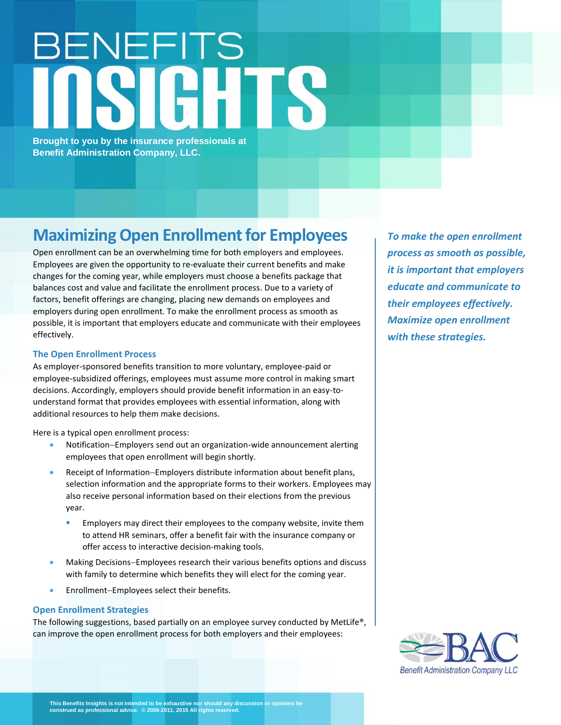## BENEFITS TE

**Brought to you by the insurance professionals at Benefit Administration Company, LLC.**

## **Maximizing Open Enrollment for Employees**

Open enrollment can be an overwhelming time for both employers and employees. Employees are given the opportunity to re-evaluate their current benefits and make changes for the coming year, while employers must choose a benefits package that balances cost and value and facilitate the enrollment process. Due to a variety of factors, benefit offerings are changing, placing new demands on employees and employers during open enrollment. To make the enrollment process as smooth as possible, it is important that employers educate and communicate with their employees effectively.

## **The Open Enrollment Process**

As employer-sponsored benefits transition to more voluntary, employee-paid or employee-subsidized offerings, employees must assume more control in making smart decisions. Accordingly, employers should provide benefit information in an easy-tounderstand format that provides employees with essential information, along with additional resources to help them make decisions.

Here is a typical open enrollment process:

- Notification−Employers send out an organization-wide announcement alerting employees that open enrollment will begin shortly.
- Receipt of Information−Employers distribute information about benefit plans, selection information and the appropriate forms to their workers. Employees may also receive personal information based on their elections from the previous year.
	- Employers may direct their employees to the company website, invite them to attend HR seminars, offer a benefit fair with the insurance company or offer access to interactive decision-making tools.
- Making Decisions−Employees research their various benefits options and discuss with family to determine which benefits they will elect for the coming year.
- Enrollment−Employees select their benefits.

## **Open Enrollment Strategies**

The following suggestions, based partially on an employee survey conducted by MetLife®, can improve the open enrollment process for both employers and their employees:

*To make the open enrollment process as smooth as possible, it is important that employers educate and communicate to their employees effectively. Maximize open enrollment with these strategies.*